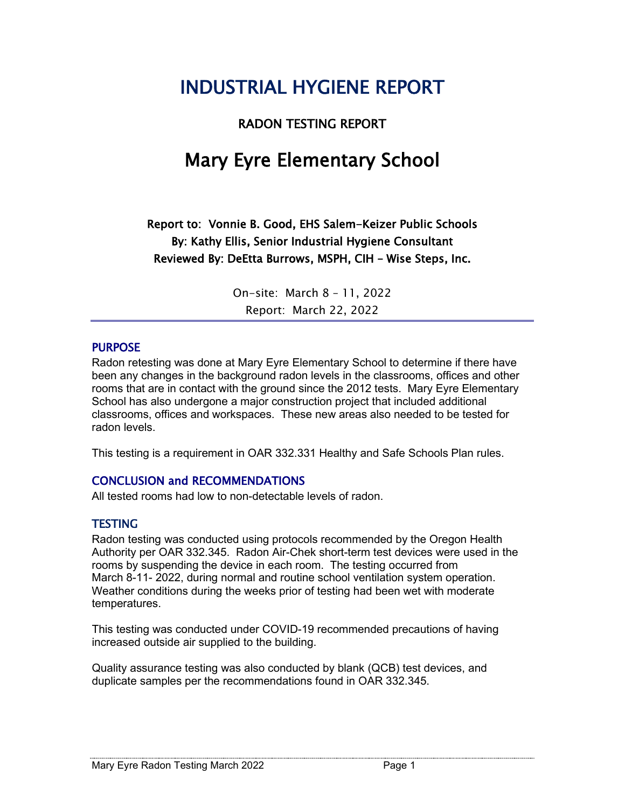# INDUSTRIAL HYGIENE REPORT

#### RADON TESTING REPORT

# Mary Eyre Elementary School

Report to: Vonnie B. Good, EHS Salem-Keizer Public Schools By: Kathy Ellis, Senior Industrial Hygiene Consultant Reviewed By: DeEtta Burrows, MSPH, CIH – Wise Steps, Inc.

> On-site: March 8 – 11, 2022 Report: March 22, 2022

#### PURPOSE

Radon retesting was done at Mary Eyre Elementary School to determine if there have been any changes in the background radon levels in the classrooms, offices and other rooms that are in contact with the ground since the 2012 tests. Mary Eyre Elementary School has also undergone a major construction project that included additional classrooms, offices and workspaces. These new areas also needed to be tested for radon levels.

This testing is a requirement in OAR 332.331 Healthy and Safe Schools Plan rules.

#### CONCLUSION and RECOMMENDATIONS

All tested rooms had low to non-detectable levels of radon.

#### TESTING

Radon testing was conducted using protocols recommended by the Oregon Health Authority per OAR 332.345. Radon Air-Chek short-term test devices were used in the rooms by suspending the device in each room. The testing occurred from March 8-11- 2022, during normal and routine school ventilation system operation. Weather conditions during the weeks prior of testing had been wet with moderate temperatures.

This testing was conducted under COVID-19 recommended precautions of having increased outside air supplied to the building.

Quality assurance testing was also conducted by blank (QCB) test devices, and duplicate samples per the recommendations found in OAR 332.345.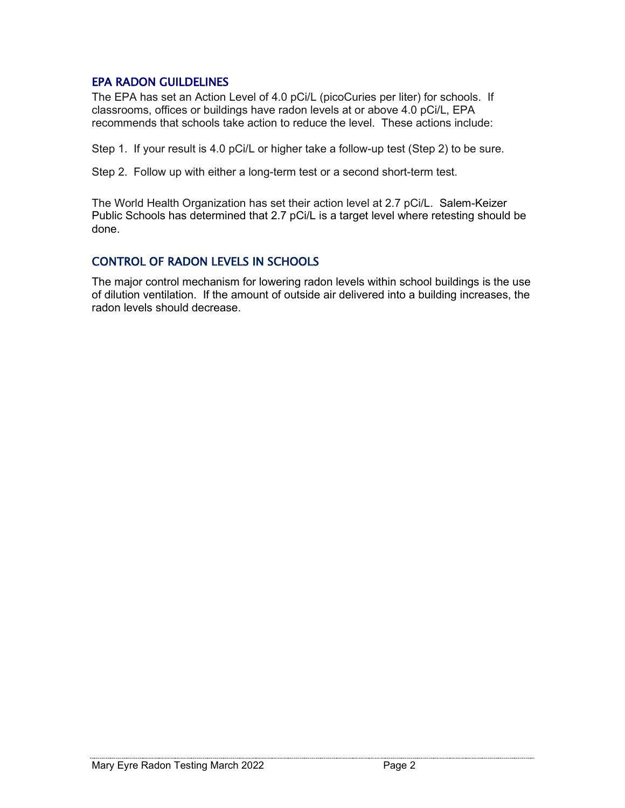#### EPA RADON GUILDELINES

The EPA has set an Action Level of 4.0 pCi/L (picoCuries per liter) for schools. If classrooms, offices or buildings have radon levels at or above 4.0 pCi/L, EPA recommends that schools take action to reduce the level. These actions include:

Step 1. If your result is 4.0 pCi/L or higher take a follow-up test (Step 2) to be sure.

Step 2. Follow up with either a long-term test or a second short-term test.

The World Health Organization has set their action level at 2.7 pCi/L. Salem-Keizer Public Schools has determined that 2.7 pCi/L is a target level where retesting should be done.

#### CONTROL OF RADON LEVELS IN SCHOOLS

The major control mechanism for lowering radon levels within school buildings is the use of dilution ventilation. If the amount of outside air delivered into a building increases, the radon levels should decrease.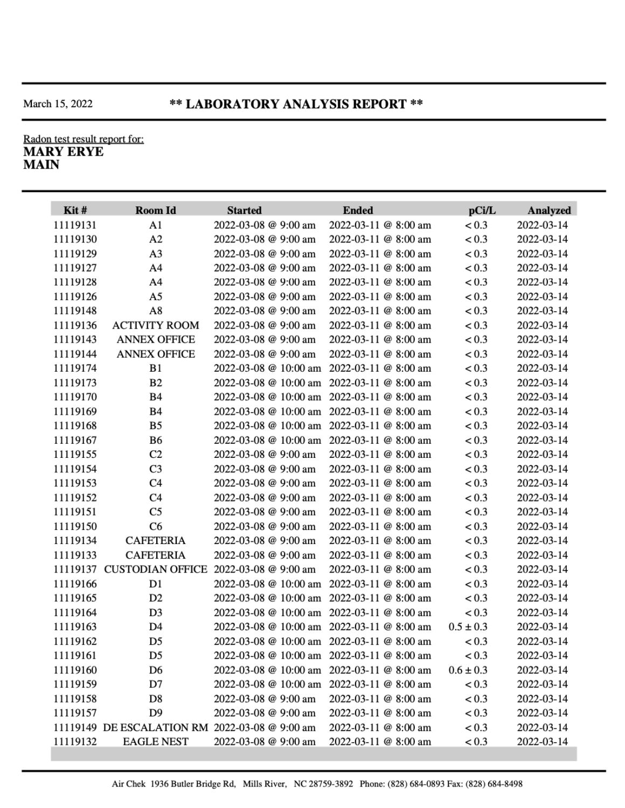#### March 15, 2022

#### \*\* LABORATORY ANALYSIS REPORT \*\*

#### Radon test result report for: **MARY ERYE MAIN**

| Kit#     | Room Id                                        | <b>Started</b>       | <b>Ended</b>                               | pCi/L         | Analyzed   |
|----------|------------------------------------------------|----------------------|--------------------------------------------|---------------|------------|
| 11119131 | A1                                             | 2022-03-08 @ 9:00 am | 2022-03-11 @ 8:00 am                       | < 0.3         | 2022-03-14 |
| 11119130 | A2                                             | 2022-03-08 @ 9:00 am | 2022-03-11 @ 8:00 am                       | < 0.3         | 2022-03-14 |
| 11119129 | A <sub>3</sub>                                 | 2022-03-08 @ 9:00 am | 2022-03-11 @ 8:00 am                       | < 0.3         | 2022-03-14 |
| 11119127 | A4                                             | 2022-03-08 @ 9:00 am | 2022-03-11 @ 8:00 am                       | < 0.3         | 2022-03-14 |
| 11119128 | A4                                             | 2022-03-08 @ 9:00 am | 2022-03-11 @ 8:00 am                       | < 0.3         | 2022-03-14 |
| 11119126 | A5                                             | 2022-03-08 @ 9:00 am | 2022-03-11 @ 8:00 am                       | < 0.3         | 2022-03-14 |
| 11119148 | A8                                             | 2022-03-08 @ 9:00 am | 2022-03-11 @ 8:00 am                       | < 0.3         | 2022-03-14 |
| 11119136 | <b>ACTIVITY ROOM</b>                           | 2022-03-08 @ 9:00 am | 2022-03-11 @ 8:00 am                       | < 0.3         | 2022-03-14 |
| 11119143 | <b>ANNEX OFFICE</b>                            | 2022-03-08 @ 9:00 am | 2022-03-11 @ 8:00 am                       | < 0.3         | 2022-03-14 |
| 11119144 | <b>ANNEX OFFICE</b>                            | 2022-03-08 @ 9:00 am | 2022-03-11 @ 8:00 am                       | < 0.3         | 2022-03-14 |
| 11119174 | B1                                             |                      | 2022-03-08 @ 10:00 am 2022-03-11 @ 8:00 am | < 0.3         | 2022-03-14 |
| 11119173 | B <sub>2</sub>                                 |                      | 2022-03-08 @ 10:00 am 2022-03-11 @ 8:00 am | < 0.3         | 2022-03-14 |
| 11119170 | <b>B</b> 4                                     |                      | 2022-03-08 @ 10:00 am 2022-03-11 @ 8:00 am | < 0.3         | 2022-03-14 |
| 11119169 | B4                                             |                      | 2022-03-08 @ 10:00 am 2022-03-11 @ 8:00 am | < 0.3         | 2022-03-14 |
| 11119168 | B5                                             |                      | 2022-03-08 @ 10:00 am 2022-03-11 @ 8:00 am | < 0.3         | 2022-03-14 |
| 11119167 | B6                                             |                      | 2022-03-08 @ 10:00 am 2022-03-11 @ 8:00 am | < 0.3         | 2022-03-14 |
| 11119155 | C2                                             | 2022-03-08 @ 9:00 am | 2022-03-11 @ 8:00 am                       | < 0.3         | 2022-03-14 |
| 11119154 | C3                                             | 2022-03-08 @ 9:00 am | 2022-03-11 @ 8:00 am                       | < 0.3         | 2022-03-14 |
| 11119153 | C4                                             | 2022-03-08 @ 9:00 am | 2022-03-11 @ 8:00 am                       | < 0.3         | 2022-03-14 |
| 11119152 | C4                                             | 2022-03-08 @ 9:00 am | 2022-03-11 @ 8:00 am                       | < 0.3         | 2022-03-14 |
| 11119151 | C5                                             | 2022-03-08 @ 9:00 am | 2022-03-11 @ 8:00 am                       | < 0.3         | 2022-03-14 |
| 11119150 | C6                                             | 2022-03-08 @ 9:00 am | 2022-03-11 @ 8:00 am                       | < 0.3         | 2022-03-14 |
| 11119134 | <b>CAFETERIA</b>                               | 2022-03-08 @ 9:00 am | 2022-03-11 @ 8:00 am                       | < 0.3         | 2022-03-14 |
| 11119133 | <b>CAFETERIA</b>                               | 2022-03-08 @ 9:00 am | 2022-03-11 @ 8:00 am                       | < 0.3         | 2022-03-14 |
|          | 11119137 CUSTODIAN OFFICE                      | 2022-03-08 @ 9:00 am | 2022-03-11 @ 8:00 am                       | < 0.3         | 2022-03-14 |
| 11119166 | D1                                             |                      | 2022-03-08 @ 10:00 am 2022-03-11 @ 8:00 am | < 0.3         | 2022-03-14 |
| 11119165 | D <sub>2</sub>                                 |                      | 2022-03-08 @ 10:00 am 2022-03-11 @ 8:00 am | < 0.3         | 2022-03-14 |
| 11119164 | D <sub>3</sub>                                 |                      | 2022-03-08 @ 10:00 am 2022-03-11 @ 8:00 am | < 0.3         | 2022-03-14 |
| 11119163 | D4                                             |                      | 2022-03-08 @ 10:00 am 2022-03-11 @ 8:00 am | $0.5 \pm 0.3$ | 2022-03-14 |
| 11119162 | D <sub>5</sub>                                 |                      | 2022-03-08 @ 10:00 am 2022-03-11 @ 8:00 am | < 0.3         | 2022-03-14 |
| 11119161 | D5                                             |                      | 2022-03-08 @ 10:00 am 2022-03-11 @ 8:00 am | < 0.3         | 2022-03-14 |
| 11119160 | D6                                             |                      | 2022-03-08 @ 10:00 am 2022-03-11 @ 8:00 am | $0.6 \pm 0.3$ | 2022-03-14 |
| 11119159 | D7                                             |                      | 2022-03-08 @ 10:00 am 2022-03-11 @ 8:00 am | < 0.3         | 2022-03-14 |
| 11119158 | D8                                             | 2022-03-08 @ 9:00 am | 2022-03-11 @ 8:00 am                       | < 0.3         | 2022-03-14 |
| 11119157 | D9                                             | 2022-03-08 @ 9:00 am | 2022-03-11 @ 8:00 am                       | < 0.3         | 2022-03-14 |
|          | 11119149 DE ESCALATION RM 2022-03-08 @ 9:00 am |                      | 2022-03-11 @ 8:00 am                       | < 0.3         | 2022-03-14 |
| 11119132 | <b>EAGLE NEST</b>                              | 2022-03-08 @ 9:00 am | 2022-03-11 @ 8:00 am                       | < 0.3         | 2022-03-14 |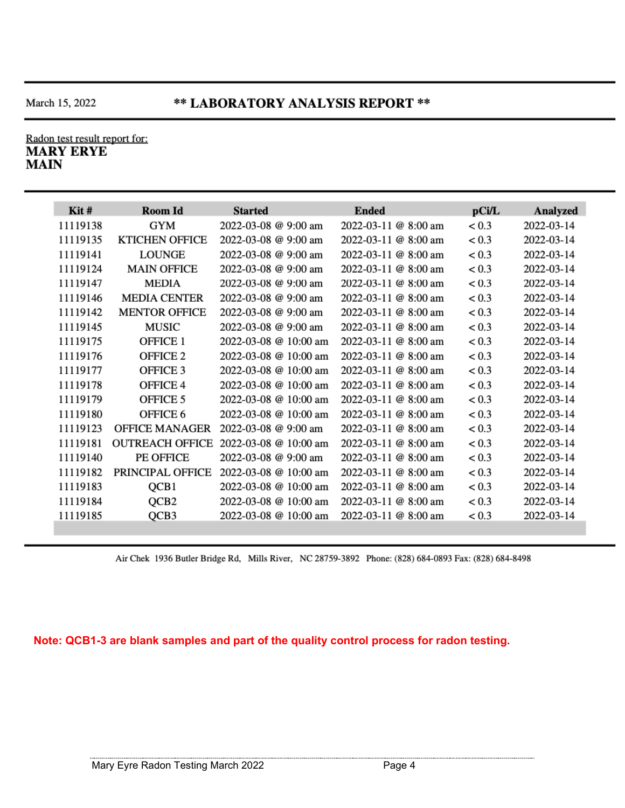## \*\* LABORATORY ANALYSIS REPORT \*\*

#### Radon test result report for: **MARY ERYE MAIN**

| Kit#     | <b>Room Id</b>         | <b>Started</b>             | <b>Ended</b>               | pCi/L | Analyzed   |
|----------|------------------------|----------------------------|----------------------------|-------|------------|
| 11119138 | <b>GYM</b>             | 2022-03-08 @ 9:00 am       | 2022-03-11 @ 8:00 am       | < 0.3 | 2022-03-14 |
| 11119135 | <b>KTICHEN OFFICE</b>  | 2022-03-08 @ 9:00 am       | 2022-03-11 @ 8:00 am       | < 0.3 | 2022-03-14 |
| 11119141 | <b>LOUNGE</b>          | 2022-03-08 @ 9:00 am       | $2022 - 03 - 11$ @ 8:00 am | < 0.3 | 2022-03-14 |
| 11119124 | <b>MAIN OFFICE</b>     | $2022 - 03 - 08$ @ 9:00 am | 2022-03-11 @ 8:00 am       | < 0.3 | 2022-03-14 |
| 11119147 | MEDIA                  | 2022-03-08 @ 9:00 am       | 2022-03-11 @ 8:00 am       | < 0.3 | 2022-03-14 |
| 11119146 | <b>MEDIA CENTER</b>    | 2022-03-08 @ 9:00 am       | $2022 - 03 - 11$ @ 8:00 am | < 0.3 | 2022-03-14 |
| 11119142 | <b>MENTOR OFFICE</b>   | 2022-03-08 @ 9:00 am       | 2022-03-11 @ 8:00 am       | < 0.3 | 2022-03-14 |
| 11119145 | <b>MUSIC</b>           | $2022 - 03 - 08$ @ 9:00 am | $2022 - 03 - 11$ @ 8:00 am | < 0.3 | 2022-03-14 |
| 11119175 | <b>OFFICE 1</b>        | 2022-03-08 @ 10:00 am      | 2022-03-11 @ 8:00 am       | < 0.3 | 2022-03-14 |
| 11119176 | OFFICE <sub>2</sub>    | 2022-03-08 @ 10:00 am      | 2022-03-11 @ 8:00 am       | < 0.3 | 2022-03-14 |
| 11119177 | OFFICE 3               | 2022-03-08 @ 10:00 am      | 2022-03-11 @ 8:00 am       | < 0.3 | 2022-03-14 |
| 11119178 | OFFICE 4               | 2022-03-08 @ 10:00 am      | 2022-03-11 @ 8:00 am       | < 0.3 | 2022-03-14 |
| 11119179 | OFFICE 5               | 2022-03-08 @ 10:00 am      | 2022-03-11 @ 8:00 am       | < 0.3 | 2022-03-14 |
| 11119180 | OFFICE 6               | 2022-03-08 @ 10:00 am      | 2022-03-11 @ 8:00 am       | < 0.3 | 2022-03-14 |
| 11119123 | <b>OFFICE MANAGER</b>  | 2022-03-08 @ 9:00 am       | 2022-03-11 @ 8:00 am       | < 0.3 | 2022-03-14 |
| 11119181 | <b>OUTREACH OFFICE</b> | 2022-03-08 @ 10:00 am      | 2022-03-11 @ 8:00 am       | < 0.3 | 2022-03-14 |
| 11119140 | PE OFFICE              | 2022-03-08 @ 9:00 am       | 2022-03-11 @ 8:00 am       | < 0.3 | 2022-03-14 |
| 11119182 | PRINCIPAL OFFICE       | 2022-03-08 @ 10:00 am      | 2022-03-11 @ 8:00 am       | < 0.3 | 2022-03-14 |
| 11119183 | QCB1                   | 2022-03-08 @ 10:00 am      | 2022-03-11 @ 8:00 am       | < 0.3 | 2022-03-14 |
| 11119184 | QCB <sub>2</sub>       | 2022-03-08 @ 10:00 am      | $2022 - 03 - 11$ @ 8:00 am | < 0.3 | 2022-03-14 |
| 11119185 | QCB3                   | 2022-03-08 @ 10:00 am      | 2022-03-11 @ 8:00 am       | < 0.3 | 2022-03-14 |

Air Chek 1936 Butler Bridge Rd, Mills River, NC 28759-3892 Phone: (828) 684-0893 Fax: (828) 684-8498

**Note: QCB1-3 are blank samples and part of the quality control process for radon testing.**